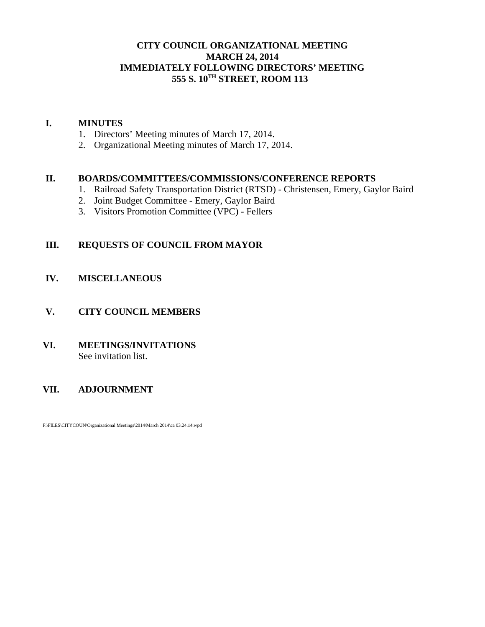### **CITY COUNCIL ORGANIZATIONAL MEETING MARCH 24, 2014 IMMEDIATELY FOLLOWING DIRECTORS' MEETING 555 S. 10TH STREET, ROOM 113**

#### **I. MINUTES**

- 1. Directors' Meeting minutes of March 17, 2014.
- 2. Organizational Meeting minutes of March 17, 2014.

#### **II. BOARDS/COMMITTEES/COMMISSIONS/CONFERENCE REPORTS**

- 1. Railroad Safety Transportation District (RTSD) Christensen, Emery, Gaylor Baird
- 2. Joint Budget Committee Emery, Gaylor Baird
- 3. Visitors Promotion Committee (VPC) Fellers

## **III. REQUESTS OF COUNCIL FROM MAYOR**

### **IV. MISCELLANEOUS**

#### **V. CITY COUNCIL MEMBERS**

#### **VI. MEETINGS/INVITATIONS** See invitation list.

### **VII. ADJOURNMENT**

F:\FILES\CITYCOUN\Organizational Meetings\2014\March 2014\ca 03.24.14.wpd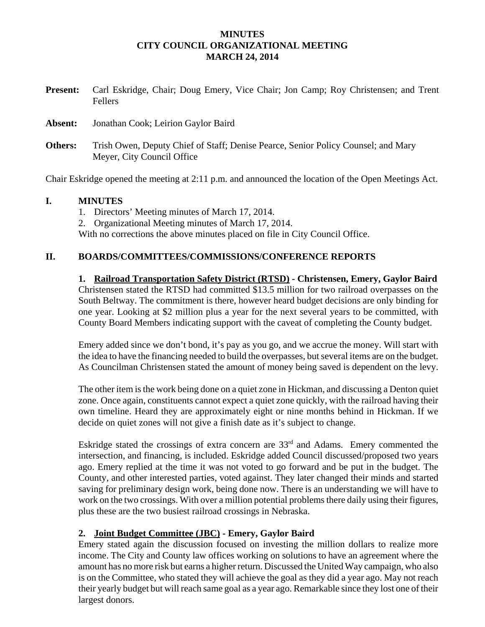#### **MINUTES CITY COUNCIL ORGANIZATIONAL MEETING MARCH 24, 2014**

| <b>Present:</b> | Carl Eskridge, Chair; Doug Emery, Vice Chair; Jon Camp; Roy Christensen; and Trent<br><b>Fellers</b>            |
|-----------------|-----------------------------------------------------------------------------------------------------------------|
| Absent:         | Jonathan Cook; Leirion Gaylor Baird                                                                             |
| Others:         | Trish Owen, Deputy Chief of Staff; Denise Pearce, Senior Policy Counsel; and Mary<br>Meyer, City Council Office |

Chair Eskridge opened the meeting at 2:11 p.m. and announced the location of the Open Meetings Act.

### **I. MINUTES**

1. Directors' Meeting minutes of March 17, 2014. 2. Organizational Meeting minutes of March 17, 2014. With no corrections the above minutes placed on file in City Council Office.

# **II. BOARDS/COMMITTEES/COMMISSIONS/CONFERENCE REPORTS**

**1. Railroad Transportation Safety District (RTSD) - Christensen, Emery, Gaylor Baird** Christensen stated the RTSD had committed \$13.5 million for two railroad overpasses on the South Beltway. The commitment is there, however heard budget decisions are only binding for one year. Looking at \$2 million plus a year for the next several years to be committed, with County Board Members indicating support with the caveat of completing the County budget.

Emery added since we don't bond, it's pay as you go, and we accrue the money. Will start with the idea to have the financing needed to build the overpasses, but several items are on the budget. As Councilman Christensen stated the amount of money being saved is dependent on the levy.

The other item is the work being done on a quiet zone in Hickman, and discussing a Denton quiet zone. Once again, constituents cannot expect a quiet zone quickly, with the railroad having their own timeline. Heard they are approximately eight or nine months behind in Hickman. If we decide on quiet zones will not give a finish date as it's subject to change.

Eskridge stated the crossings of extra concern are  $33<sup>rd</sup>$  and Adams. Emery commented the intersection, and financing, is included. Eskridge added Council discussed/proposed two years ago. Emery replied at the time it was not voted to go forward and be put in the budget. The County, and other interested parties, voted against. They later changed their minds and started saving for preliminary design work, being done now. There is an understanding we will have to work on the two crossings. With over a million potential problems there daily using their figures, plus these are the two busiest railroad crossings in Nebraska.

### **2. Joint Budget Committee (JBC) - Emery, Gaylor Baird**

Emery stated again the discussion focused on investing the million dollars to realize more income. The City and County law offices working on solutions to have an agreement where the amount has no more risk but earns a higher return. Discussed the United Way campaign, who also is on the Committee, who stated they will achieve the goal as they did a year ago. May not reach their yearly budget but will reach same goal as a year ago. Remarkable since they lost one of their largest donors.